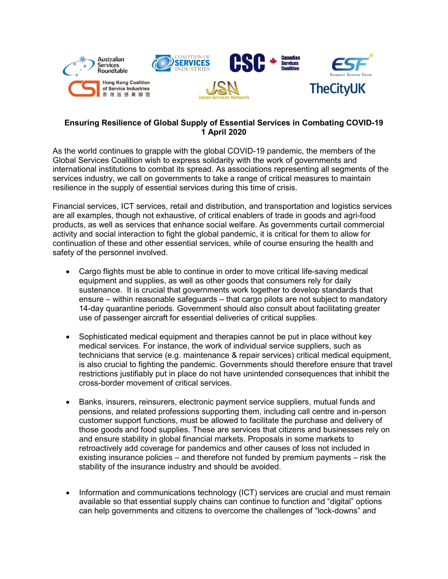

## **Ensuring Resilience of Global Supply of Essential Services in Combating COVID-19 1 April 2020**

As the world continues to grapple with the global COVID-19 pandemic, the members of the Global Services Coalition wish to express solidarity with the work of governments and international institutions to combat its spread. As associations representing all segments of the services industry, we call on governments to take a range of critical measures to maintain resilience in the supply of essential services during this time of crisis.

Financial services, ICT services, retail and distribution, and transportation and logistics services are all examples, though not exhaustive, of critical enablers of trade in goods and agri-food products, as well as services that enhance social welfare. As governments curtail commercial activity and social interaction to fight the global pandemic, it is critical for them to allow for continuation of these and other essential services, while of course ensuring the health and safety of the personnel involved.

- Cargo flights must be able to continue in order to move critical life-saving medical equipment and supplies, as well as other goods that consumers rely for daily sustenance. It is crucial that governments work together to develop standards that ensure – within reasonable safeguards – that cargo pilots are not subject to mandatory 14-day quarantine periods. Government should also consult about facilitating greater use of passenger aircraft for essential deliveries of critical supplies.
- Sophisticated medical equipment and therapies cannot be put in place without key medical services. For instance, the work of individual service suppliers, such as technicians that service (e.g. maintenance & repair services) critical medical equipment, is also crucial to fighting the pandemic. Governments should therefore ensure that travel restrictions justifiably put in place do not have unintended consequences that inhibit the cross-border movement of critical services.
- Banks, insurers, reinsurers, electronic payment service suppliers, mutual funds and pensions, and related professions supporting them, including call centre and in-person customer support functions, must be allowed to facilitate the purchase and delivery of those goods and food supplies. These are services that citizens and businesses rely on and ensure stability in global financial markets. Proposals in some markets to retroactively add coverage for pandemics and other causes of loss not included in existing insurance policies – and therefore not funded by premium payments – risk the stability of the insurance industry and should be avoided.
- Information and communications technology (ICT) services are crucial and must remain available so that essential supply chains can continue to function and "digital" options can help governments and citizens to overcome the challenges of "lock-downs" and